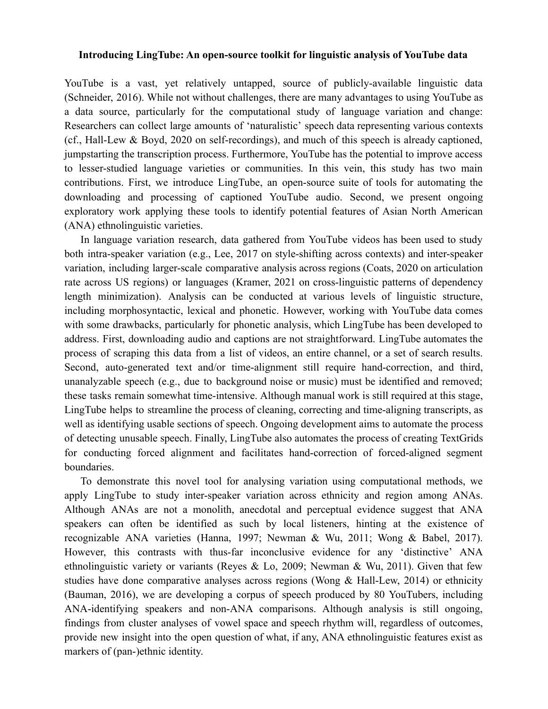## **Introducing LingTube: An open-source toolkit for linguistic analysis of YouTube data**

YouTube is a vast, yet relatively untapped, source of publicly-available linguistic data (Schneider, 2016). While not without challenges, there are many advantages to using YouTube as a data source, particularly for the computational study of language variation and change: Researchers can collect large amounts of 'naturalistic' speech data representing various contexts (cf., Hall-Lew & Boyd, 2020 on self-recordings), and much of this speech is already captioned, jumpstarting the transcription process. Furthermore, YouTube has the potential to improve access to lesser-studied language varieties or communities. In this vein, this study has two main contributions. First, we introduce LingTube, an open-source suite of tools for automating the downloading and processing of captioned YouTube audio. Second, we present ongoing exploratory work applying these tools to identify potential features of Asian North American (ANA) ethnolinguistic varieties.

In language variation research, data gathered from YouTube videos has been used to study both intra-speaker variation (e.g., Lee, 2017 on style-shifting across contexts) and inter-speaker variation, including larger-scale comparative analysis across regions (Coats, 2020 on articulation rate across US regions) or languages (Kramer, 2021 on cross-linguistic patterns of dependency length minimization). Analysis can be conducted at various levels of linguistic structure, including morphosyntactic, lexical and phonetic. However, working with YouTube data comes with some drawbacks, particularly for phonetic analysis, which LingTube has been developed to address. First, downloading audio and captions are not straightforward. LingTube automates the process of scraping this data from a list of videos, an entire channel, or a set of search results. Second, auto-generated text and/or time-alignment still require hand-correction, and third, unanalyzable speech (e.g., due to background noise or music) must be identified and removed; these tasks remain somewhat time-intensive. Although manual work is still required at this stage, LingTube helps to streamline the process of cleaning, correcting and time-aligning transcripts, as well as identifying usable sections of speech. Ongoing development aims to automate the process of detecting unusable speech. Finally, LingTube also automates the process of creating TextGrids for conducting forced alignment and facilitates hand-correction of forced-aligned segment boundaries.

To demonstrate this novel tool for analysing variation using computational methods, we apply LingTube to study inter-speaker variation across ethnicity and region among ANAs. Although ANAs are not a monolith, anecdotal and perceptual evidence suggest that ANA speakers can often be identified as such by local listeners, hinting at the existence of recognizable ANA varieties (Hanna, 1997; Newman & Wu, 2011; Wong & Babel, 2017). However, this contrasts with thus-far inconclusive evidence for any 'distinctive' ANA ethnolinguistic variety or variants (Reyes & Lo, 2009; Newman & Wu, 2011). Given that few studies have done comparative analyses across regions (Wong & Hall-Lew, 2014) or ethnicity (Bauman, 2016), we are developing a corpus of speech produced by 80 YouTubers, including ANA-identifying speakers and non-ANA comparisons. Although analysis is still ongoing, findings from cluster analyses of vowel space and speech rhythm will, regardless of outcomes, provide new insight into the open question of what, if any, ANA ethnolinguistic features exist as markers of (pan-)ethnic identity.